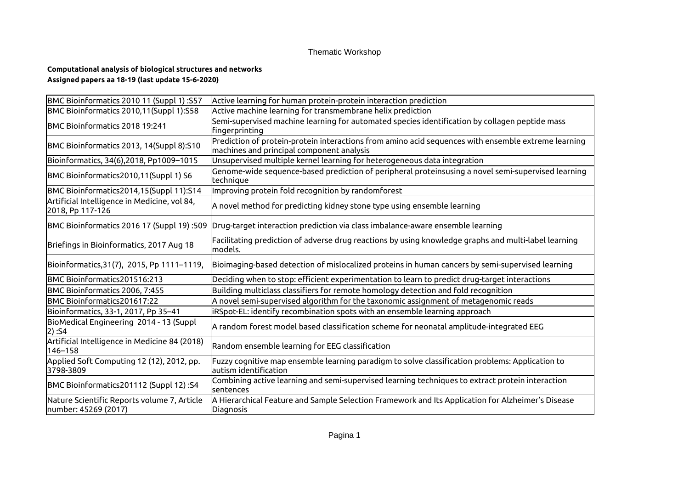## Thematic Workshop

## **Computational analysis of biological structures and networks Assigned papers aa 18-19 (last update 15-6-2020)**

| BMC Bioinformatics 2010 11 (Suppl 1):S57                            | Active learning for human protein-protein interaction prediction                                                                                 |
|---------------------------------------------------------------------|--------------------------------------------------------------------------------------------------------------------------------------------------|
| BMC Bioinformatics 2010,11(Suppl 1):S58                             | Active machine learning for transmembrane helix prediction                                                                                       |
| BMC Bioinformatics 2018 19:241                                      | Semi-supervised machine learning for automated species identification by collagen peptide mass<br>fingerprinting                                 |
| BMC Bioinformatics 2013, 14(Suppl 8):S10                            | Prediction of protein-protein interactions from amino acid sequences with ensemble extreme learning<br>machines and principal component analysis |
| Bioinformatics, 34(6), 2018, Pp1009-1015                            | Unsupervised multiple kernel learning for heterogeneous data integration                                                                         |
| BMC Bioinformatics2010,11(Suppl 1) S6                               | Genome-wide sequence-based prediction of peripheral proteinsusing a novel semi-supervised learning<br>technique                                  |
| BMC Bioinformatics2014,15(Suppl 11):S14                             | Improving protein fold recognition by randomforest                                                                                               |
| Artificial Intelligence in Medicine, vol 84,<br>2018, Pp 117-126    | $\vert$ A novel method for predicting kidney stone type using ensemble learning                                                                  |
| BMC Bioinformatics 2016 17 (Suppl 19):509                           | Drug-target interaction prediction via class imbalance-aware ensemble learning                                                                   |
| Briefings in Bioinformatics, 2017 Aug 18                            | Facilitating prediction of adverse drug reactions by using knowledge graphs and multi-label learning<br>models.                                  |
| Bioinformatics, 31(7), 2015, Pp 1111-1119,                          | Bioimaging-based detection of mislocalized proteins in human cancers by semi-supervised learning                                                 |
| BMC Bioinformatics201516:213                                        | Deciding when to stop: efficient experimentation to learn to predict drug-target interactions                                                    |
| BMC Bioinformatics 2006, 7:455                                      | Building multiclass classifiers for remote homology detection and fold recognition                                                               |
| BMC Bioinformatics201617:22                                         | A novel semi-supervised algorithm for the taxonomic assignment of metagenomic reads                                                              |
| Bioinformatics, 33-1, 2017, Pp 35–41                                | iRSpot-EL: identify recombination spots with an ensemble learning approach                                                                       |
| BioMedical Engineering 2014 - 13 (Suppl<br>2) :S4                   | $\vert$ A random forest model based classification scheme for neonatal amplitude-integrated EEG                                                  |
| Artificial Intelligence in Medicine 84 (2018)<br>146-158            | Random ensemble learning for EEG classification                                                                                                  |
| Applied Soft Computing 12 (12), 2012, pp.<br>3798-3809              | Fuzzy cognitive map ensemble learning paradigm to solve classification problems: Application to<br>autism identification                         |
| BMC Bioinformatics201112 (Suppl 12) :S4                             | Combining active learning and semi-supervised learning techniques to extract protein interaction<br>sentences                                    |
| Nature Scientific Reports volume 7, Article<br>number: 45269 (2017) | A Hierarchical Feature and Sample Selection Framework and Its Application for Alzheimer's Disease<br>Diagnosis                                   |